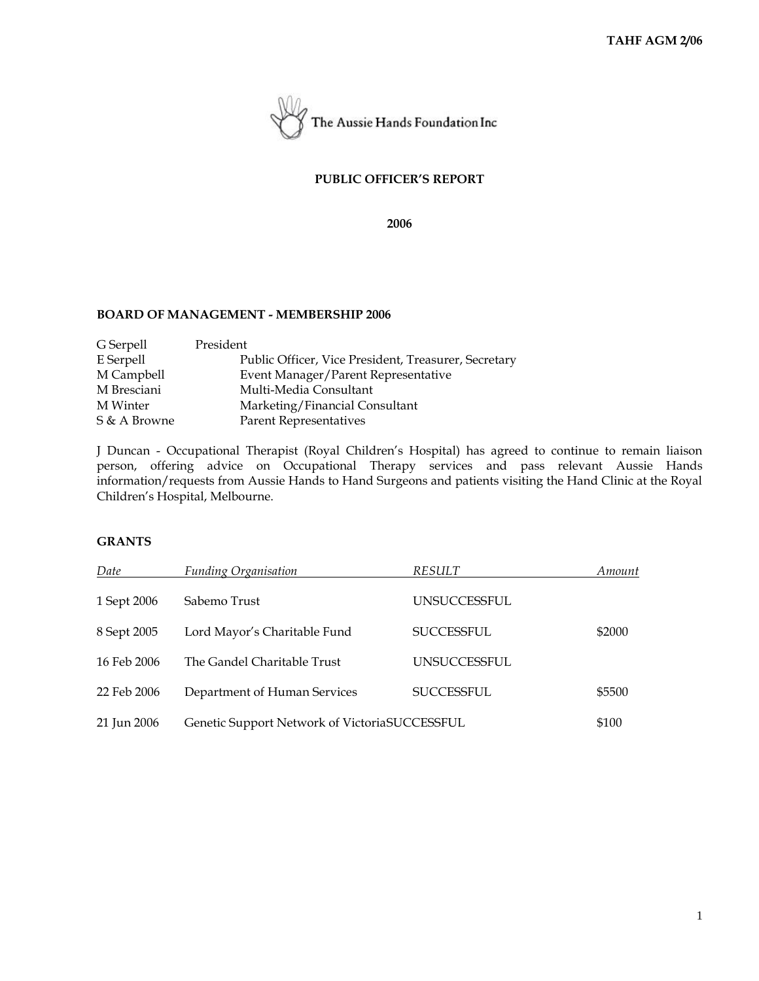

# **PUBLIC OFFICER'S REPORT**

**2006**

#### **BOARD OF MANAGEMENT - MEMBERSHIP 2006**

| President                                            |
|------------------------------------------------------|
| Public Officer, Vice President, Treasurer, Secretary |
| Event Manager/Parent Representative                  |
| Multi-Media Consultant                               |
| Marketing/Financial Consultant                       |
| Parent Representatives                               |
|                                                      |

J Duncan - Occupational Therapist (Royal Children's Hospital) has agreed to continue to remain liaison person, offering advice on Occupational Therapy services and pass relevant Aussie Hands information/requests from Aussie Hands to Hand Surgeons and patients visiting the Hand Clinic at the Royal Children's Hospital, Melbourne.

# **GRANTS**

| Date        | <b>Funding Organisation</b>                   | RESULT              | Amount |
|-------------|-----------------------------------------------|---------------------|--------|
| 1 Sept 2006 | Sabemo Trust                                  | <b>UNSUCCESSFUL</b> |        |
| 8 Sept 2005 | Lord Mayor's Charitable Fund                  | <b>SUCCESSFUL</b>   | \$2000 |
| 16 Feb 2006 | The Gandel Charitable Trust                   | <b>UNSUCCESSFUL</b> |        |
| 22 Feb 2006 | Department of Human Services                  | <b>SUCCESSFUL</b>   | \$5500 |
| 21 Jun 2006 | Genetic Support Network of VictoriaSUCCESSFUL |                     | \$100  |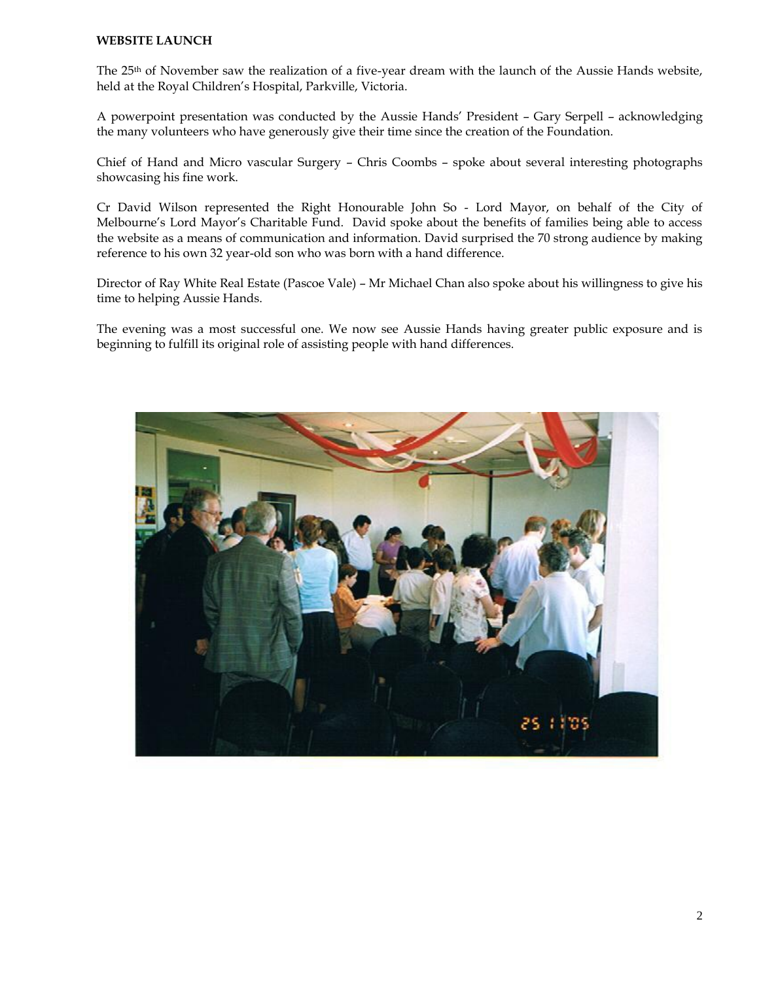### **WEBSITE LAUNCH**

The 25th of November saw the realization of a five-year dream with the launch of the Aussie Hands website, held at the Royal Children's Hospital, Parkville, Victoria.

A powerpoint presentation was conducted by the Aussie Hands' President – Gary Serpell – acknowledging the many volunteers who have generously give their time since the creation of the Foundation.

Chief of Hand and Micro vascular Surgery – Chris Coombs – spoke about several interesting photographs showcasing his fine work.

Cr David Wilson represented the Right Honourable John So - Lord Mayor, on behalf of the City of Melbourne's Lord Mayor's Charitable Fund. David spoke about the benefits of families being able to access the website as a means of communication and information. David surprised the 70 strong audience by making reference to his own 32 year-old son who was born with a hand difference.

Director of Ray White Real Estate (Pascoe Vale) – Mr Michael Chan also spoke about his willingness to give his time to helping Aussie Hands.

The evening was a most successful one. We now see Aussie Hands having greater public exposure and is beginning to fulfill its original role of assisting people with hand differences.

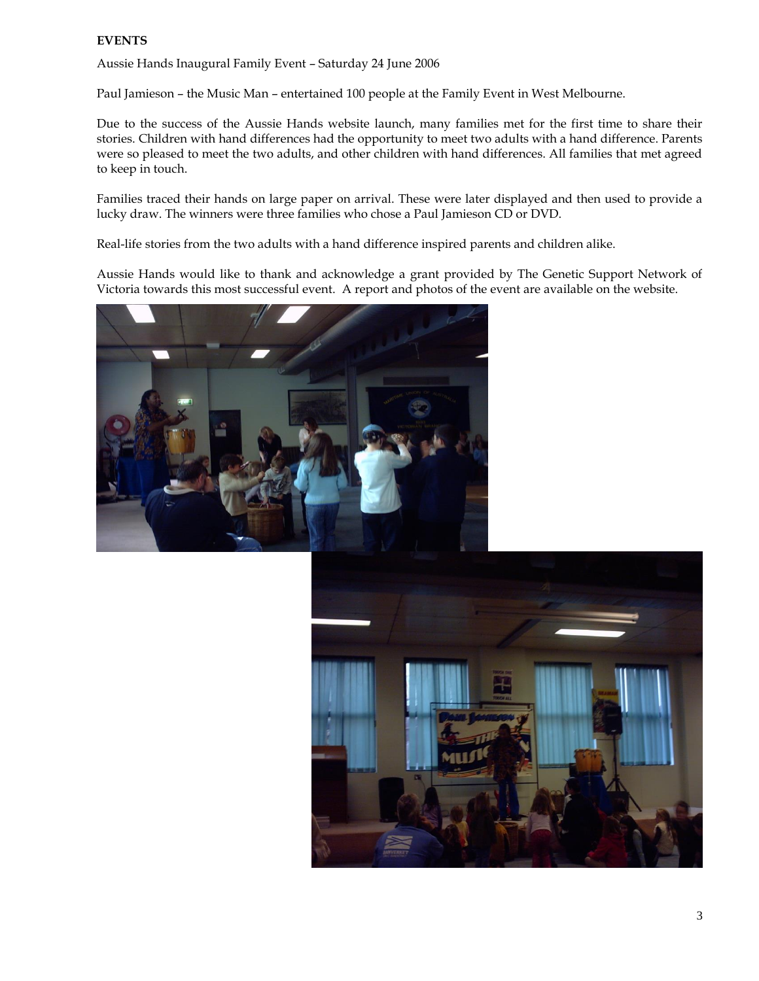# **EVENTS**

Aussie Hands Inaugural Family Event – Saturday 24 June 2006

Paul Jamieson – the Music Man – entertained 100 people at the Family Event in West Melbourne.

Due to the success of the Aussie Hands website launch, many families met for the first time to share their stories. Children with hand differences had the opportunity to meet two adults with a hand difference. Parents were so pleased to meet the two adults, and other children with hand differences. All families that met agreed to keep in touch.

Families traced their hands on large paper on arrival. These were later displayed and then used to provide a lucky draw. The winners were three families who chose a Paul Jamieson CD or DVD.

Real-life stories from the two adults with a hand difference inspired parents and children alike.

Aussie Hands would like to thank and acknowledge a grant provided by The Genetic Support Network of Victoria towards this most successful event. A report and photos of the event are available on the website.



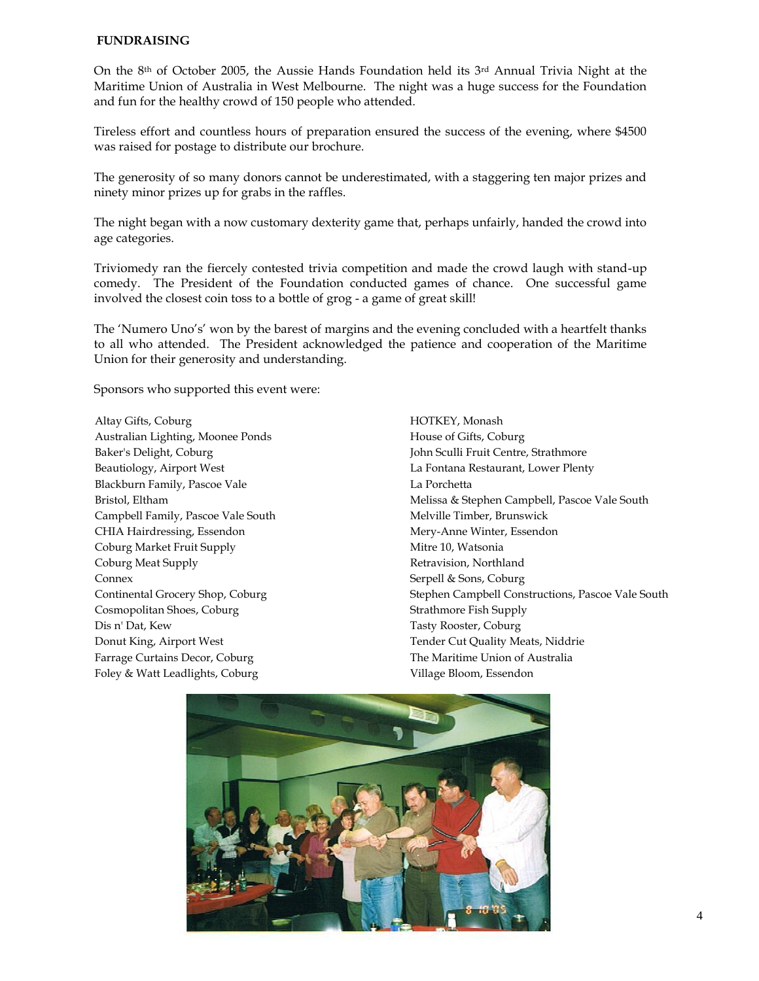#### **FUNDRAISING**

On the 8<sup>th</sup> of October 2005, the Aussie Hands Foundation held its 3<sup>rd</sup> Annual Trivia Night at the Maritime Union of Australia in West Melbourne. The night was a huge success for the Foundation and fun for the healthy crowd of 150 people who attended.

Tireless effort and countless hours of preparation ensured the success of the evening, where \$4500 was raised for postage to distribute our brochure.

The generosity of so many donors cannot be underestimated, with a staggering ten major prizes and ninety minor prizes up for grabs in the raffles.

The night began with a now customary dexterity game that, perhaps unfairly, handed the crowd into age categories.

Triviomedy ran the fiercely contested trivia competition and made the crowd laugh with stand-up comedy. The President of the Foundation conducted games of chance. One successful game involved the closest coin toss to a bottle of grog - a game of great skill!

The 'Numero Uno's' won by the barest of margins and the evening concluded with a heartfelt thanks to all who attended. The President acknowledged the patience and cooperation of the Maritime Union for their generosity and understanding.

Sponsors who supported this event were:

Altay Gifts, Coburg Australian Lighting, Moonee Ponds Baker's Delight, Coburg Beautiology, Airport West Blackburn Family, Pascoe Vale Bristol, Eltham Campbell Family, Pascoe Vale South CHIA Hairdressing, Essendon Coburg Market Fruit Supply Coburg Meat Supply Connex Continental Grocery Shop, Coburg Cosmopolitan Shoes, Coburg Dis n' Dat, Kew Donut King, Airport West Farrage Curtains Decor, Coburg Foley & Watt Leadlights, Coburg

HOTKEY, Monash House of Gifts, Coburg John Sculli Fruit Centre, Strathmore La Fontana Restaurant, Lower Plenty La Porchetta Melissa & Stephen Campbell, Pascoe Vale South Melville Timber, Brunswick Mery-Anne Winter, Essendon Mitre 10, Watsonia Retravision, Northland Serpell & Sons, Coburg Stephen Campbell Constructions, Pascoe Vale South Strathmore Fish Supply Tasty Rooster, Coburg Tender Cut Quality Meats, Niddrie The Maritime Union of Australia Village Bloom, Essendon

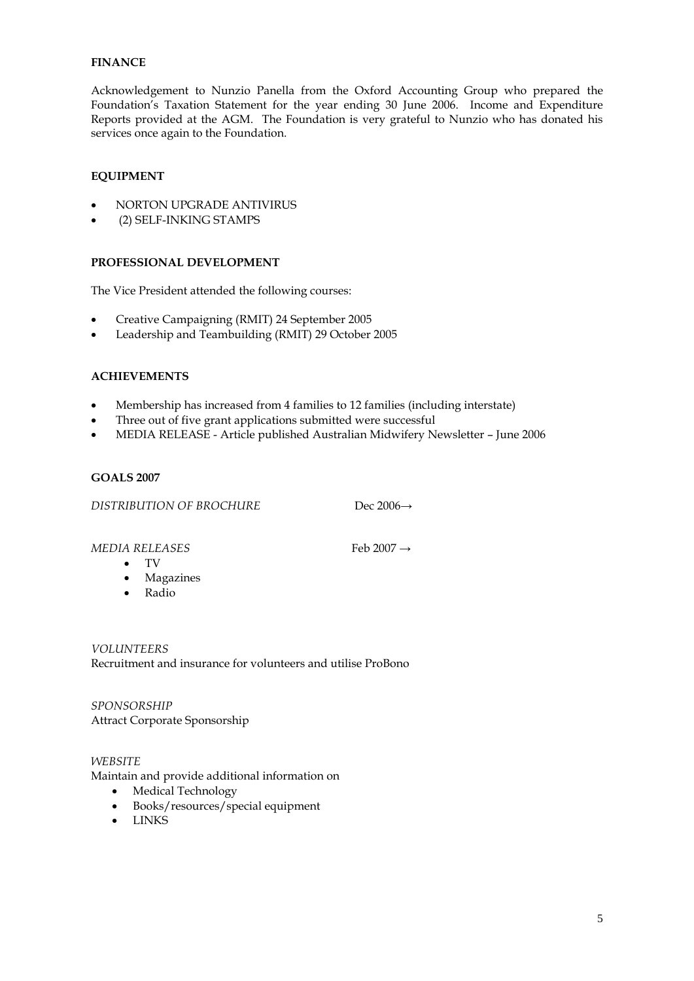# **FINANCE**

Acknowledgement to Nunzio Panella from the Oxford Accounting Group who prepared the Foundation's Taxation Statement for the year ending 30 June 2006. Income and Expenditure Reports provided at the AGM. The Foundation is very grateful to Nunzio who has donated his services once again to the Foundation.

# **EQUIPMENT**

- NORTON UPGRADE ANTIVIRUS
- (2) SELF-INKING STAMPS

## **PROFESSIONAL DEVELOPMENT**

The Vice President attended the following courses:

- Creative Campaigning (RMIT) 24 September 2005
- Leadership and Teambuilding (RMIT) 29 October 2005

# **ACHIEVEMENTS**

- Membership has increased from 4 families to 12 families (including interstate)
- Three out of five grant applications submitted were successful
- MEDIA RELEASE Article published Australian Midwifery Newsletter June 2006

#### **GOALS 2007**

*DISTRIBUTION OF BROCHURE* Dec 2006→

*MEDIA RELEASES* Feb 2007 →

- TV
- Magazines
- Radio

*VOLUNTEERS* Recruitment and insurance for volunteers and utilise ProBono

*SPONSORSHIP* Attract Corporate Sponsorship

# *WEBSITE*

Maintain and provide additional information on

- Medical Technology
- Books/resources/special equipment
- LINKS